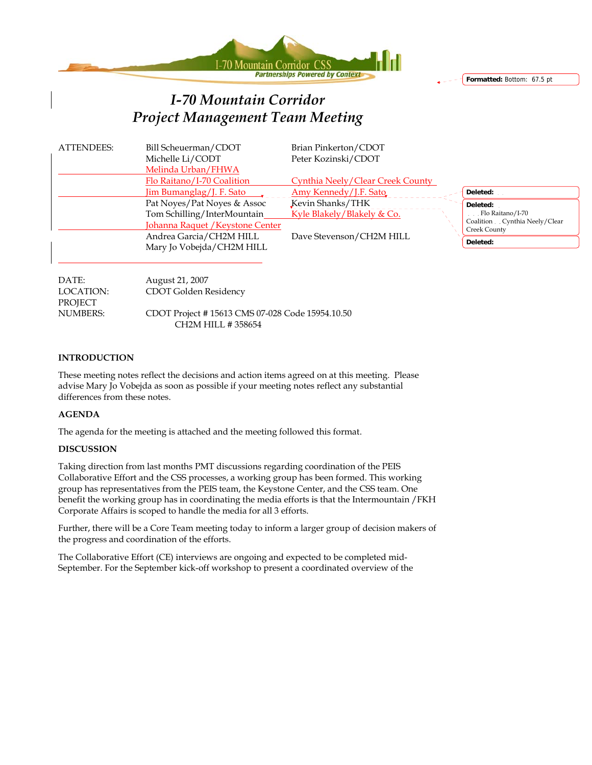



# *I-70 Mountain Corridor Project Management Team Meeting*

| <b>ATTENDEES:</b> | Bill Scheuerman/CDOT             | Brian Pinkerton/CDOT             |                                               |                  |
|-------------------|----------------------------------|----------------------------------|-----------------------------------------------|------------------|
|                   | Michelle Li/CODT                 | Peter Kozinski/CDOT              |                                               |                  |
|                   | Melinda Urban/FHWA               |                                  |                                               |                  |
|                   | Flo Raitano/I-70 Coalition       | Cynthia Neely/Clear Creek County |                                               |                  |
|                   | Jim Bumanglag/J. F. Sato         | Amy Kennedy/J.F. Sato            |                                               | Deleted:         |
|                   | Pat Noyes/Pat Noyes & Assoc      | Kevin Shanks/THK                 |                                               | Deleted:         |
|                   | Tom Schilling/InterMountain      | Kyle Blakely/Blakely & Co.       |                                               | Flo Raitano/I-70 |
|                   | Johanna Raquet / Keystone Center |                                  | Coalition Cynthia Neely/Clear<br>Creek County |                  |
|                   | Andrea Garcia/CH2M HILL          | Dave Stevenson/CH2M HILL         |                                               | Deleted:         |
|                   | Mary Jo Vobejda/CH2M HILL        |                                  |                                               |                  |
|                   |                                  |                                  |                                               |                  |

DATE: August 21, 2007 LOCATION: CDOT Golden Residency PROJECT NUMBERS: CDOT Project # 15613 CMS 07-028 Code 15954.10.50 CH2M HILL # 358654

#### **INTRODUCTION**

These meeting notes reflect the decisions and action items agreed on at this meeting. Please advise Mary Jo Vobejda as soon as possible if your meeting notes reflect any substantial differences from these notes.

#### **AGENDA**

The agenda for the meeting is attached and the meeting followed this format.

#### **DISCUSSION**

Taking direction from last months PMT discussions regarding coordination of the PEIS Collaborative Effort and the CSS processes, a working group has been formed. This working group has representatives from the PEIS team, the Keystone Center, and the CSS team. One benefit the working group has in coordinating the media efforts is that the Intermountain /FKH Corporate Affairs is scoped to handle the media for all 3 efforts.

Further, there will be a Core Team meeting today to inform a larger group of decision makers of the progress and coordination of the efforts.

The Collaborative Effort (CE) interviews are ongoing and expected to be completed mid-September. For the September kick-off workshop to present a coordinated overview of the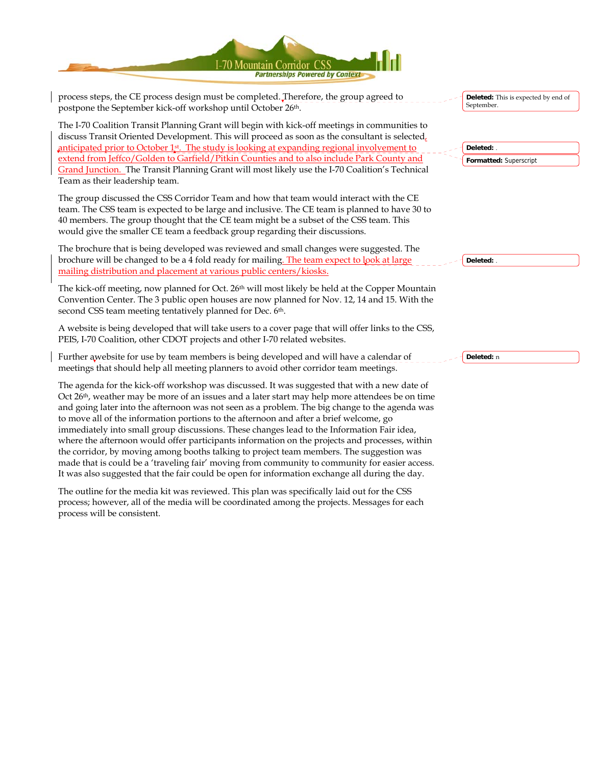

The outline for the media kit was reviewed. This plan was specifically laid out for the CSS process; however, all of the media will be coordinated among the projects. Messages for each process will be consistent.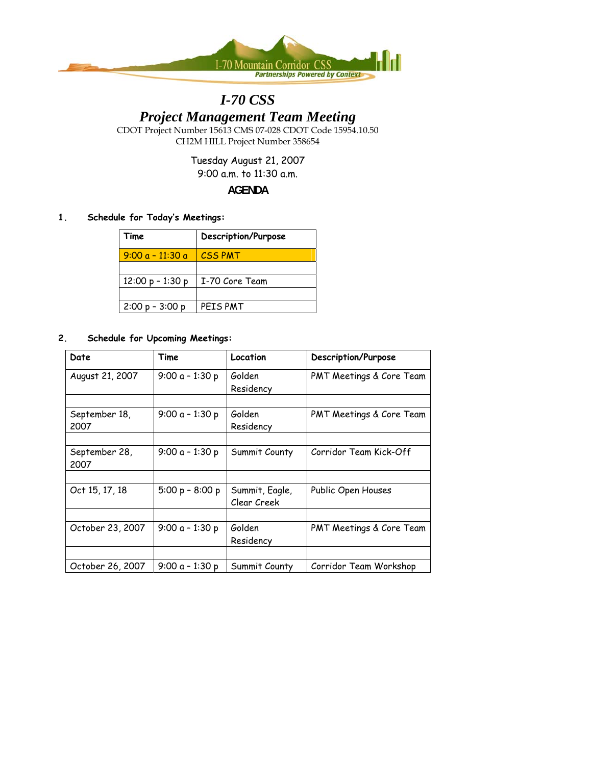

# *I-70 CSS*

*Project Management Team Meeting* 

CDOT Project Number 15613 CMS 07-028 CDOT Code 15954.10.50 CH2M HILL Project Number 358654

Tuesday August 21, 2007

9:00 a.m. to 11:30 a.m.

**AGENDA** 

## **1. Schedule for Today's Meetings:**

| Time               | Description/Purpose |
|--------------------|---------------------|
| $9:00a - 11:30a$   | <b>CSS PMT</b>      |
|                    |                     |
| $12:00 p - 1:30 p$ | I-70 Core Team      |
|                    |                     |
| $2:00 p - 3:00 p$  | PEIS PMT            |

# **2. Schedule for Upcoming Meetings:**

| Date             | Time              | Location       | <b>Description/Purpose</b> |
|------------------|-------------------|----------------|----------------------------|
| August 21, 2007  | 9:00 $a - 1:30 p$ | Golden         | PMT Meetings & Core Team   |
|                  |                   | Residency      |                            |
|                  |                   |                |                            |
| September 18,    | 9:00 $a - 1:30 p$ | Golden         | PMT Meetings & Core Team   |
| 2007             |                   | Residency      |                            |
|                  |                   |                |                            |
| September 28,    | $9:00a - 1:30p$   | Summit County  | Corridor Team Kick-Off     |
| 2007             |                   |                |                            |
|                  |                   |                |                            |
| Oct 15, 17, 18   | $5:00 p - 8:00 p$ | Summit, Eagle, | Public Open Houses         |
|                  |                   | Clear Creek    |                            |
|                  |                   |                |                            |
| October 23, 2007 | $9:00a - 1:30p$   | Golden         | PMT Meetings & Core Team   |
|                  |                   | Residency      |                            |
|                  |                   |                |                            |
| October 26, 2007 | $9:00a - 1:30p$   | Summit County  | Corridor Team Workshop     |